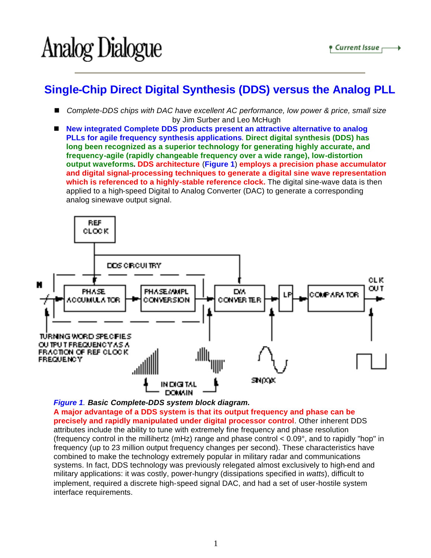## Analog Dialogue

## **Single-Chip Direct Digital Synthesis (DDS) versus the Analog PLL**

- *Complete-DDS chips with DAC have excellent AC performance, low power & price, small size* by Jim Surber and Leo McHugh
- New integrated Complete DDS products present an attractive alternative to analog **PLLs for agile frequency synthesis applications**. **Direct digital synthesis (DDS) has long been recognized as a superior technology for generating highly accurate, and frequency-agile (rapidly changeable frequency over a wide range), low-distortion output waveforms. DDS architecture** (**Figure 1**) **employs a precision phase accumulator and digital signal-processing techniques to generate a digital sine wave representation which is referenced to a highly-stable reference clock.** The digital sine-wave data is then applied to a high-speed Digital to Analog Converter (DAC) to generate a corresponding analog sinewave output signal.



*Figure 1. Basic Complete-DDS system block diagram.*

**A major advantage of a DDS system is that its output frequency and phase can be precisely and rapidly manipulated under digital processor control**. Other inherent DDS attributes include the ability to tune with extremely fine frequency and phase resolution (frequency control in the millihertz (mHz) range and phase control < 0.09°, and to rapidly "hop" in frequency (up to 23 million output frequency changes per second). These characteristics have combined to make the technology extremely popular in military radar and communications systems. In fact, DDS technology was previously relegated almost exclusively to high-end and military applications: it was costly, power-hungry (dissipations specified in *watts*), difficult to implement, required a discrete high-speed signal DAC, and had a set of user-hostile system interface requirements.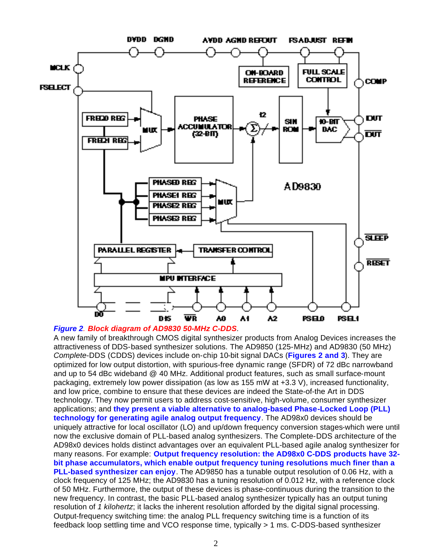

## *Figure 2. Block diagram of AD9830 50-MHz C-DDS.*

A new family of breakthrough CMOS digital synthesizer products from Analog Devices increases the attractiveness of DDS-based synthesizer solutions. The AD9850 (125-MHz) and AD9830 (50 MHz) *Complete*-DDS (CDDS) devices include on-chip 10-bit signal DACs (**Figures 2 and 3**). They are optimized for low output distortion, with spurious-free dynamic range (SFDR) of 72 dBc narrowband and up to 54 dBc wideband @ 40 MHz. Additional product features, such as small surface-mount packaging, extremely low power dissipation (as low as 155 mW at +3.3 V), increased functionality, and low price, combine to ensure that these devices are indeed the State-of-the Art in DDS technology. They now permit users to address cost-sensitive, high-volume, consumer synthesizer applications; and **they present a viable alternative to analog-based Phase-Locked Loop (PLL) technology for generating agile analog output frequency**. The AD98x0 devices should be uniquely attractive for local oscillator (LO) and up/down frequency conversion stages-which were until now the exclusive domain of PLL-based analog synthesizers. The Complete-DDS architecture of the AD98x0 devices holds distinct advantages over an equivalent PLL-based agile analog synthesizer for many reasons. For example: **Output frequency resolution: the AD98x0 C-DDS products have 32 bit phase accumulators, which enable output frequency tuning resolutions much finer than a PLL-based synthesizer can enjoy**. The AD9850 has a tunable output resolution of 0.06 Hz, with a clock frequency of 125 MHz; the AD9830 has a tuning resolution of 0.012 Hz, with a reference clock of 50 MHz. Furthermore, the output of these devices is phase-continuous during the transition to the new frequency. In contrast, the basic PLL-based analog synthesizer typically has an output tuning resolution of *1 kilohertz*; it lacks the inherent resolution afforded by the digital signal processing. Output-frequency switching time: the analog PLL frequency switching time is a function of its feedback loop settling time and VCO response time, typically > 1 ms. C-DDS-based synthesizer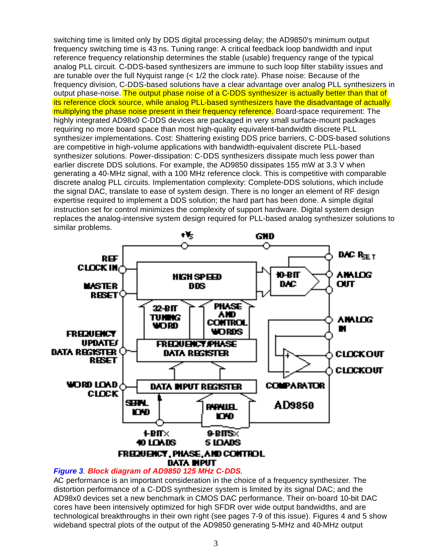switching time is limited only by DDS digital processing delay; the AD9850's minimum output frequency switching time is 43 ns. Tuning range: A critical feedback loop bandwidth and input reference frequency relationship determines the stable (usable) frequency range of the typical analog PLL circuit. C-DDS-based synthesizers are immune to such loop filter stability issues and are tunable over the full Nyquist range  $\left($  < 1/2 the clock rate). Phase noise: Because of the frequency division, C-DDS-based solutions have a clear advantage over analog PLL synthesizers in output phase-noise. The output phase noise of a C-DDS synthesizer is actually better than that of its reference clock source, while analog PLL-based synthesizers have the disadvantage of actually multiplying the phase noise present in their frequency reference. Board-space requirement: The highly integrated AD98x0 C-DDS devices are packaged in very small surface-mount packages requiring no more board space than most high-quality equivalent-bandwidth discrete PLL synthesizer implementations. Cost: Shattering existing DDS price barriers, C-DDS-based solutions are competitive in high-volume applications with bandwidth-equivalent discrete PLL-based synthesizer solutions. Power-dissipation: C-DDS synthesizers dissipate much less power than earlier discrete DDS solutions. For example, the AD9850 dissipates 155 mW at 3.3 V when generating a 40-MHz signal, with a 100 MHz reference clock. This is competitive with comparable discrete analog PLL circuits. Implementation complexity: Complete-DDS solutions, which include the signal DAC, translate to ease of system design. There is no longer an element of RF design expertise required to implement a DDS solution; the hard part has been done. A simple digital instruction set for control minimizes the complexity of support hardware. Digital system design replaces the analog-intensive system design required for PLL-based analog synthesizer solutions to similar problems.



## *Figure 3. Block diagram of AD9850 125 MHz C-DDS.*

AC performance is an important consideration in the choice of a frequency synthesizer. The distortion performance of a C-DDS synthesizer system is limited by its signal DAC; and the AD98x0 devices set a new benchmark in CMOS DAC performance. Their on-board 10-bit DAC cores have been intensively optimized for high SFDR over wide output bandwidths, and are technological breakthroughs in their own right (see pages 7-9 of this issue). Figures 4 and 5 show wideband spectral plots of the output of the AD9850 generating 5-MHz and 40-MHz output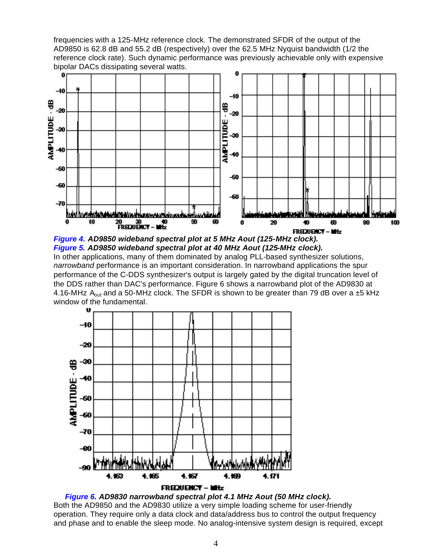frequencies with a 125-MHz reference clock. The demonstrated SFDR of the output of the AD9850 is 62.8 dB and 55.2 dB (respectively) over the 62.5 MHz Nyquist bandwidth (1/2 the reference clock rate). Such dynamic performance was previously achievable only with expensive bipolar DACs dissipating several watts.



*Figure 4. AD9850 wideband spectral plot at 5 MHz Aout (125-MHz clock). Figure 5. AD9850 wideband spectral plot at 40 MHz Aout (125-MHz clock).* In other applications, many of them dominated by analog PLL-based synthesizer solutions, *narrowband* performance is an important consideration. In narrowband applications the spur performance of the C-DDS synthesizer's output is largely gated by the digital truncation level of the DDS rather than DAC's performance. Figure 6 shows a narrowband plot of the AD9830 at 4.16-MHz  $A_{out}$  and a 50-MHz clock. The SFDR is shown to be greater than 79 dB over a  $\pm$ 5 kHz window of the fundamental.